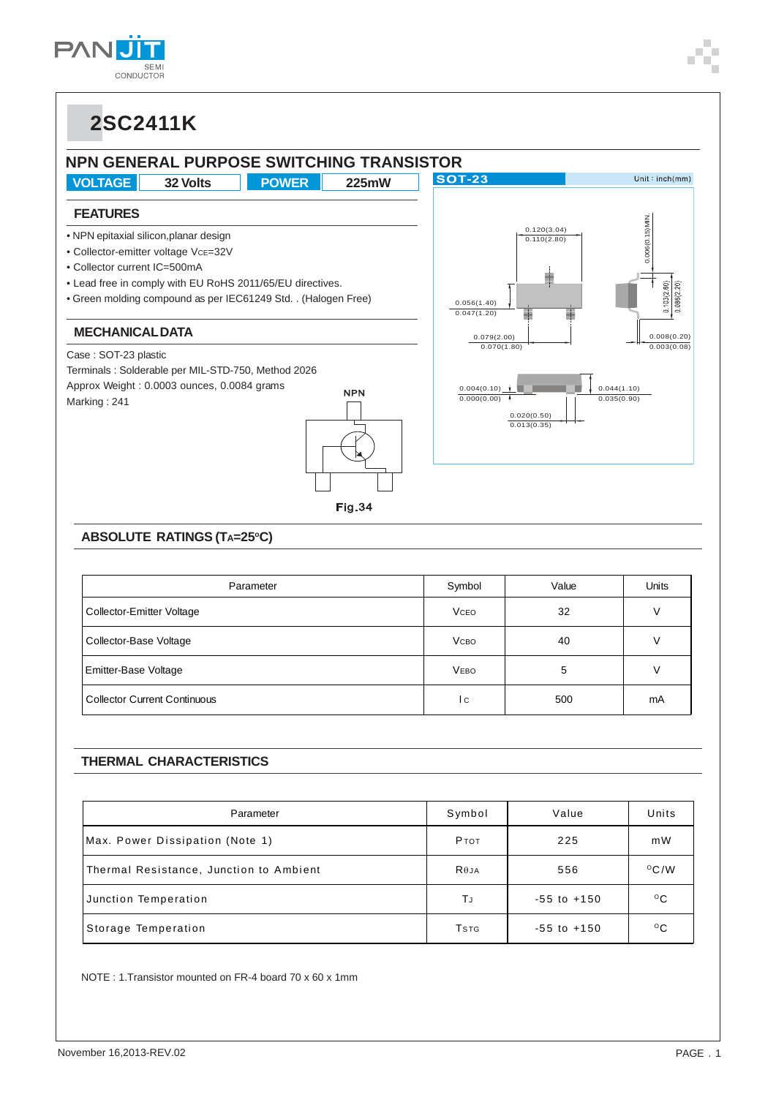





#### **ABSOLUTE RATINGS (TA=25°C)**

| Parameter                           | Symbol       | Value | <b>Units</b> |
|-------------------------------------|--------------|-------|--------------|
| Collector-Emitter Voltage           | <b>VCEO</b>  | 32    | V            |
| Collector-Base Voltage              | <b>V</b> сво | 40    |              |
| <b>Emitter-Base Voltage</b>         | <b>VEBO</b>  | 5     | V            |
| <b>Collector Current Continuous</b> | l c          | 500   | mA           |

#### **THERMAL CHARACTERISTICS**

| Parameter                               | Symbol                   | Value           | Units         |
|-----------------------------------------|--------------------------|-----------------|---------------|
| Max. Power Dissipation (Note 1)         | <b>P</b> TOT             | 225             | mW            |
| Thermal Resistance, Junction to Ambient | $R\theta$ JA             | 556             | $\rm ^{O}C/W$ |
| Junction Temperation                    | ΤJ                       | $-55$ to $+150$ | $^{\circ}$ C  |
| Storage Temperation                     | <b>T</b> st <sub>G</sub> | $-55$ to $+150$ | $^{\circ}$ C  |

NOTE : 1.Transistor mounted on FR-4 board 70 x 60 x 1mm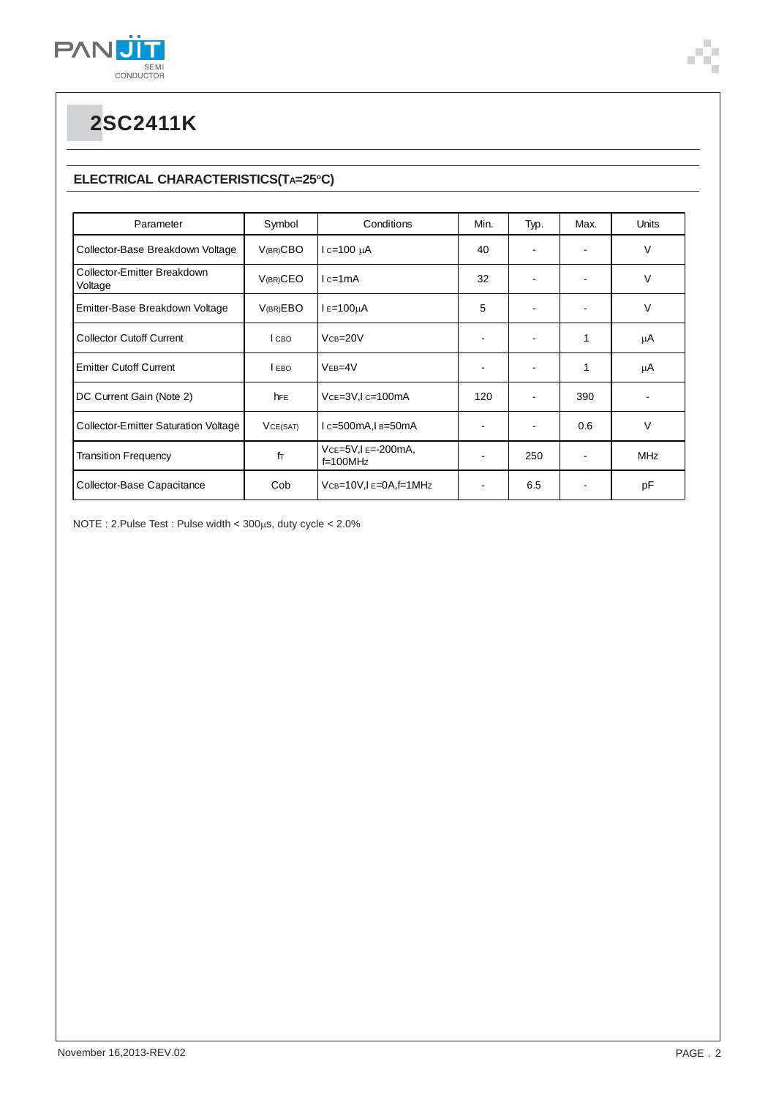

### **ELECTRICAL CHARACTERISTICS(TA=25°C)**

| Parameter                                   | Symbol      | Conditions                          | Min. | Typ.                     | Max.           | Units      |
|---------------------------------------------|-------------|-------------------------------------|------|--------------------------|----------------|------------|
| Collector-Base Breakdown Voltage            | $V(BR)$ CBO | $lc=100 \mu A$                      | 40   | $\overline{\phantom{a}}$ |                | V          |
| Collector-Emitter Breakdown<br>Voltage      | $V(BR)$ CEO | $lc=1mA$                            | 32   | $\overline{\phantom{a}}$ | $\blacksquare$ | V          |
| Emitter-Base Breakdown Voltage              | V(BR)EBO    | $I = 100µA$                         | 5    |                          | ٠              | V          |
| <b>Collector Cutoff Current</b>             | I сво       | $VCB = 20V$                         |      | $\blacksquare$           | 1              | μA         |
| <b>Emitter Cutoff Current</b>               | I EBO       | $VEB=4V$                            | ٠    | $\overline{\phantom{a}}$ | 1              | μA         |
| DC Current Gain (Note 2)                    | hFE         | $Vce=3V, Ic=100mA$                  | 120  |                          | 390            |            |
| <b>Collector-Emitter Saturation Voltage</b> | VCE(SAT)    | $lc=500mA, l_B=50mA$                |      | $\blacksquare$           | 0.6            | V          |
| <b>Transition Frequency</b>                 | fT          | $Vce=5V, Ie=-200mA,$<br>$f=100$ MHz |      | 250                      |                | <b>MHz</b> |
| Collector-Base Capacitance                  | Cob         | $VCB = 10V$ , $I = 0A$ , $f = 1MHz$ |      | 6.5                      |                | рF         |

 $NOTE: 2.Pulse Test: Pulse width  $< 300 \mu s$ , duty cycle  $< 2.0\%$$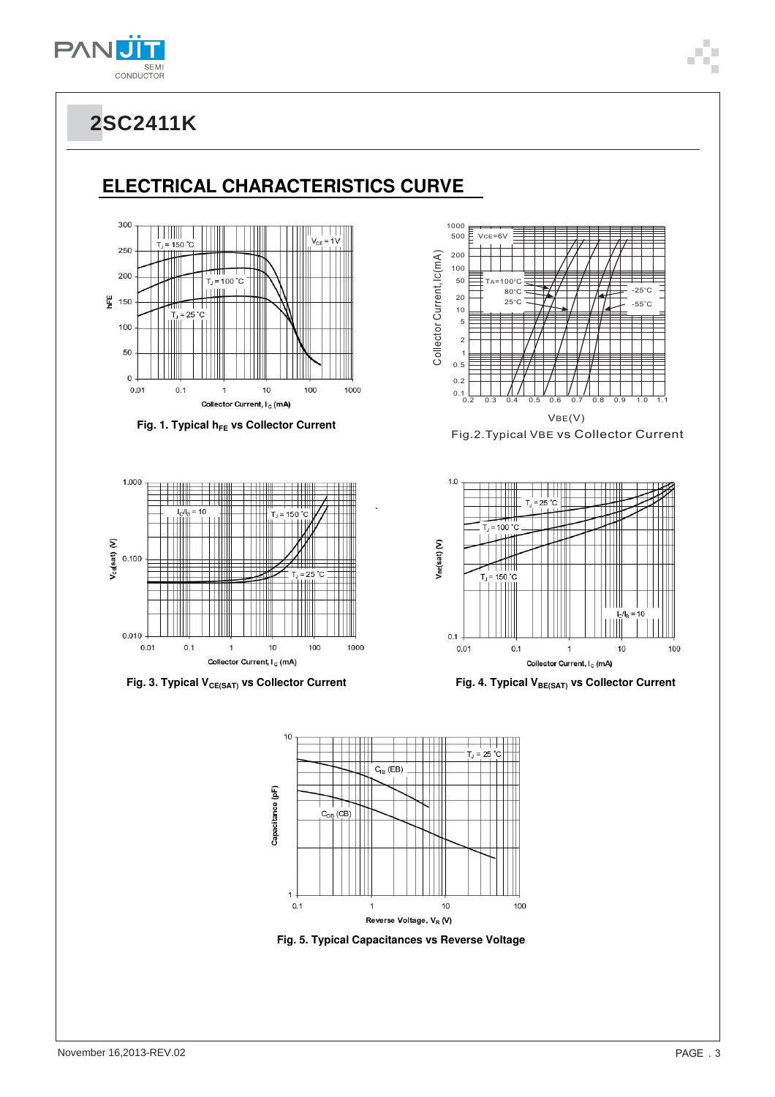

### **ELECTRICAL CHARACTERISTICS CURVE**







Fig. 3. Typical V<sub>CE(SAT)</sub> vs Collector Current **Fig. 4. Typical V**<sub>BE(SAT)</sub> vs Collector Current









`

**Fig. 5. Typical Capacitances vs Reverse Voltage**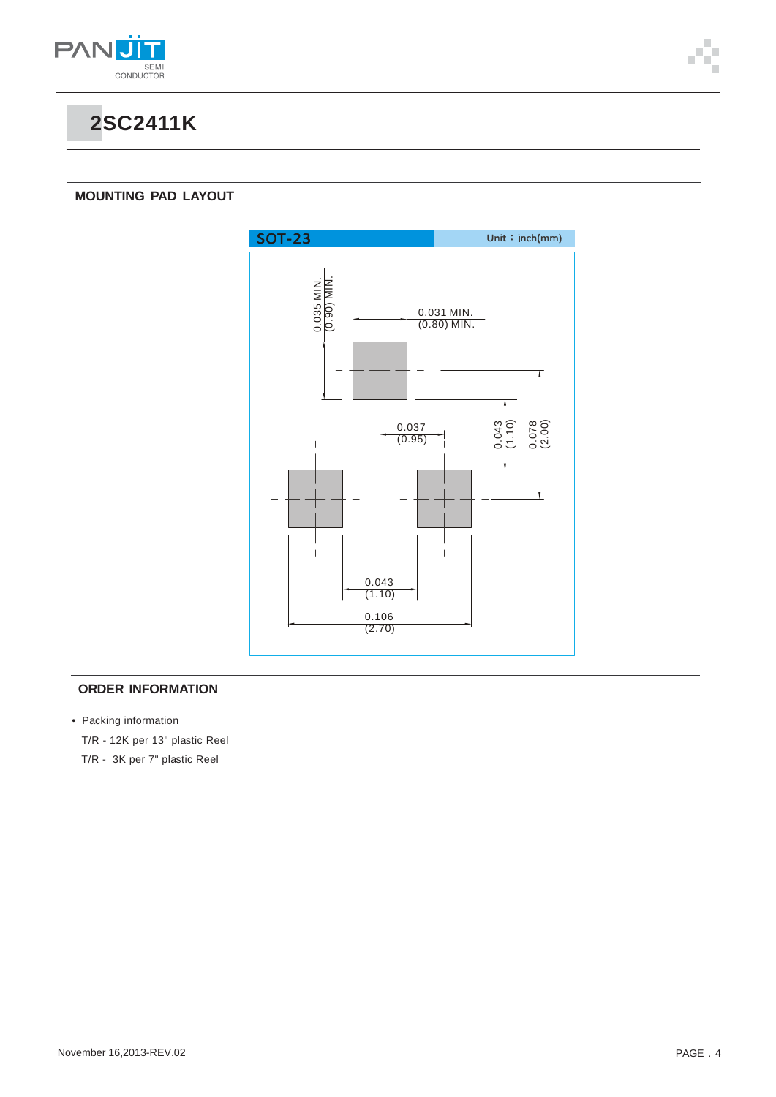

#### **MOUNTING PAD LAYOUT**



#### **ORDER INFORMATION**

• Packing information

T/R - 12K per 13" plastic Reel

T/R - 3K per 7" plastic Reel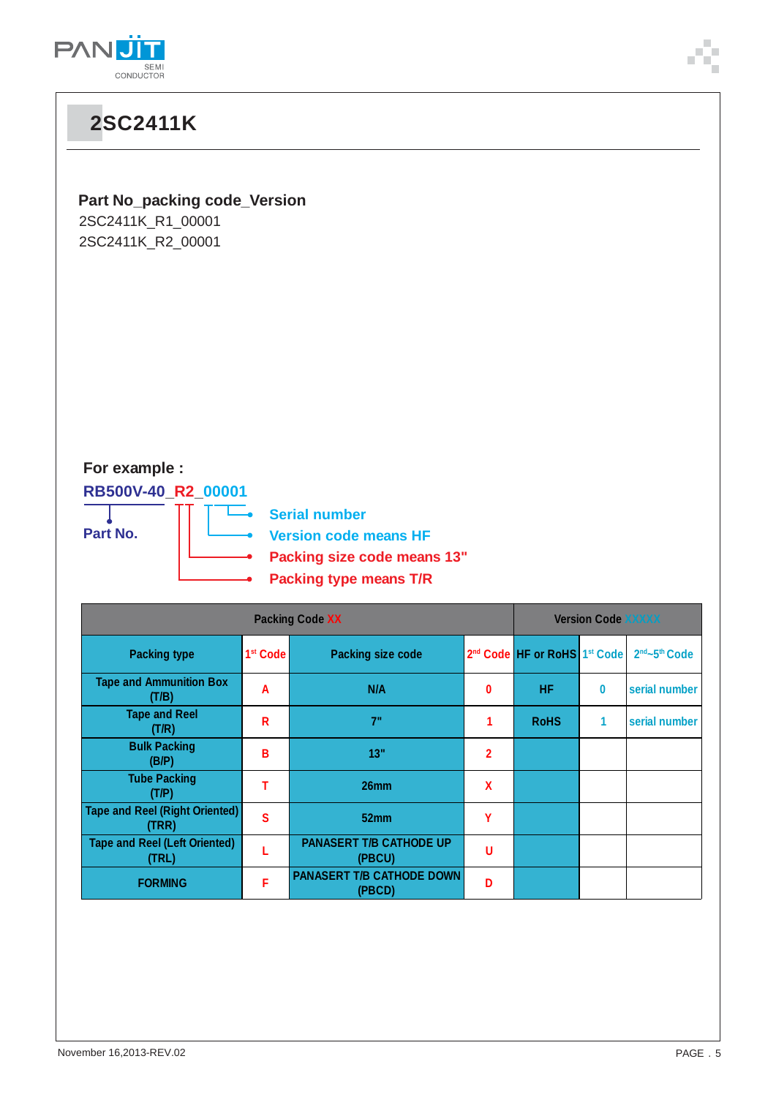

 $\overline{a}$ 

| <b>2SC2411K</b>                                                               |                        |                                                                                                                      |                |                                                      |                           |               |  |
|-------------------------------------------------------------------------------|------------------------|----------------------------------------------------------------------------------------------------------------------|----------------|------------------------------------------------------|---------------------------|---------------|--|
| <b>Part No_packing code_Version</b><br>2SC2411K_R1_00001<br>2SC2411K_R2_00001 |                        |                                                                                                                      |                |                                                      |                           |               |  |
| For example :<br>RB500V-40_R2_00001<br>Part No.                               |                        | <b>Serial number</b><br><b>Version code means HF</b><br>Packing size code means 13"<br><b>Packing type means T/R</b> |                |                                                      |                           |               |  |
|                                                                               | <b>Packing Code XX</b> |                                                                                                                      |                |                                                      | <b>Version Code XXXXX</b> |               |  |
| <b>Packing type</b>                                                           | 1 <sup>st</sup> Code   | <b>Packing size code</b>                                                                                             |                | 2 <sup>nd</sup> Code HF or RoHS 1 <sup>st</sup> Code |                           | 2nd~5th Code  |  |
| <b>Tape and Ammunition Box</b><br>(T/B)                                       | A                      | N/A                                                                                                                  | 0              | HF.                                                  | $\pmb{0}$                 | serial number |  |
| <b>Tape and Reel</b><br>(T/R)                                                 | R                      | 7"                                                                                                                   | 1              | <b>RoHS</b>                                          | $\mathbf{1}$              | serial number |  |
| <b>Bulk Packing</b><br>(B/P)                                                  | B                      | 13"                                                                                                                  | $\overline{2}$ |                                                      |                           |               |  |
| <b>Tube Packing</b><br>(T/P)                                                  | T                      | 26mm                                                                                                                 | X              |                                                      |                           |               |  |
| <b>Tape and Reel (Right Oriented)</b><br>(TRR)                                | $\mathbf{s}$           | 52mm                                                                                                                 | Y              |                                                      |                           |               |  |
| <b>Tape and Reel (Left Oriented)</b><br>(TRL)                                 | L                      | <b>PANASERT T/B CATHODE UP</b><br>(PBCU)                                                                             | U              |                                                      |                           |               |  |
| <b>FORMING</b>                                                                | F                      | <b>PANASERT T/B CATHODE DOWN</b><br>max <sub>n</sub>                                                                 | D              |                                                      |                           |               |  |

**(PBCD) <sup>D</sup>**